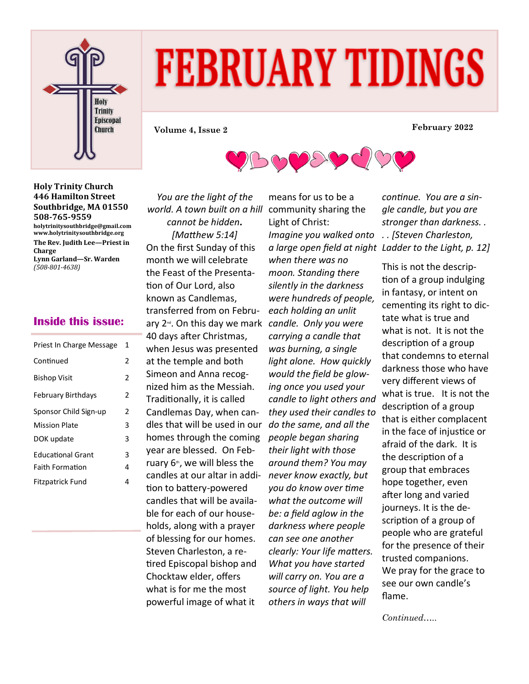

# **FEBRUARY TIDINGS**

DED





## **Inside this issue:**

| Priest In Charge Message  | 1 |
|---------------------------|---|
| Continued                 | 2 |
| <b>Bishop Visit</b>       | 2 |
| <b>February Birthdays</b> | 2 |
| Sponsor Child Sign-up     | 2 |
| <b>Mission Plate</b>      | 3 |
| DOK update                | 3 |
| <b>Educational Grant</b>  | 3 |
| <b>Faith Formation</b>    | 4 |
| Fitzpatrick Fund          | 4 |

*You are the light of the world. A town built on a hill cannot be hidden. [Matthew 5:14]* On the first Sunday of this month we will celebrate the Feast of the Presentation of Our Lord, also known as Candlemas, transferred from on February 2nd. On this day we mark *candle. Only you were*  40 days after Christmas, when Jesus was presented at the temple and both Simeon and Anna recognized him as the Messiah. Traditionally, it is called Candlemas Day, when candles that will be used in our homes through the coming year are blessed. On February  $6<sup>th</sup>$ , we will bless the candles at our altar in addition to battery-powered candles that will be available for each of our households, along with a prayer of blessing for our homes. Steven Charleston, a retired Episcopal bishop and Chocktaw elder, offers what is for me the most powerful image of what it

means for us to be a community sharing the Light of Christ: *Imagine you walked onto . . [Steven Charleston, when there was no moon. Standing there silently in the darkness were hundreds of people, each holding an unlit carrying a candle that was burning, a single light alone. How quickly would the field be glowing once you used your candle to light others and they used their candles to do the same, and all the people began sharing their light with those around them? You may never know exactly, but you do know over time what the outcome will be: a field aglow in the darkness where people can see one another clearly: Your life matters. What you have started will carry on. You are a source of light. You help others in ways that will* 

*a large open field at night Ladder to the Light, p. 12] continue. You are a single candle, but you are stronger than darkness. .* 

> This is not the description of a group indulging in fantasy, or intent on cementing its right to dictate what is true and what is not. It is not the description of a group that condemns to eternal darkness those who have very different views of what is true. It is not the description of a group that is either complacent in the face of injustice or afraid of the dark. It is the description of a group that embraces hope together, even after long and varied journeys. It is the description of a group of people who are grateful for the presence of their trusted companions. We pray for the grace to see our own candle's flame.

*Continued…..*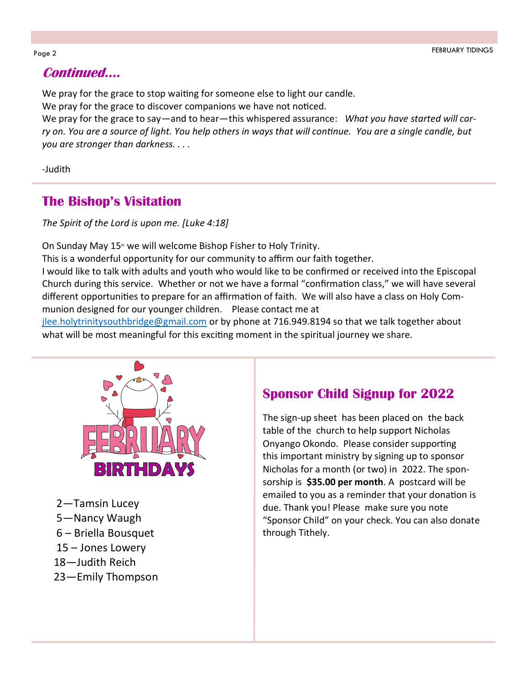## **Continued….**

We pray for the grace to stop waiting for someone else to light our candle.

We pray for the grace to discover companions we have not noticed.

We pray for the grace to say—and to hear—this whispered assurance: *What you have started will carry on. You are a source of light. You help others in ways that will continue. You are a single candle, but you are stronger than darkness. . . .*

-Judith

## **The Bishop's Visitation**

*The Spirit of the Lord is upon me. [Luke 4:18]*

On Sunday May  $15<sup>th</sup>$  we will welcome Bishop Fisher to Holy Trinity.

This is a wonderful opportunity for our community to affirm our faith together.

I would like to talk with adults and youth who would like to be confirmed or received into the Episcopal Church during this service. Whether or not we have a formal "confirmation class," we will have several different opportunities to prepare for an affirmation of faith. We will also have a class on Holy Communion designed for our younger children. Please contact me at

[jlee.holytrinitysouthbridge@gmail.com](mailto:jlee.holytrinitysouthbridge@gmail.com) or by phone at 716.949.8194 so that we talk together about what will be most meaningful for this exciting moment in the spiritual journey we share.



—Tamsin Lucey —Nancy Waugh – Briella Bousquet – Jones Lowery —Judith Reich —Emily Thompson

# **Sponsor Child Signup for 2022**

The sign-up sheet has been placed on the back table of the church to help support Nicholas Onyango Okondo. Please consider supporting this important ministry by signing up to sponsor Nicholas for a month (or two) in 2022. The sponsorship is **\$35.00 per month**. A postcard will be emailed to you as a reminder that your donation is due. Thank you! Please make sure you note "Sponsor Child" on your check. You can also donate through Tithely.

#### Page 2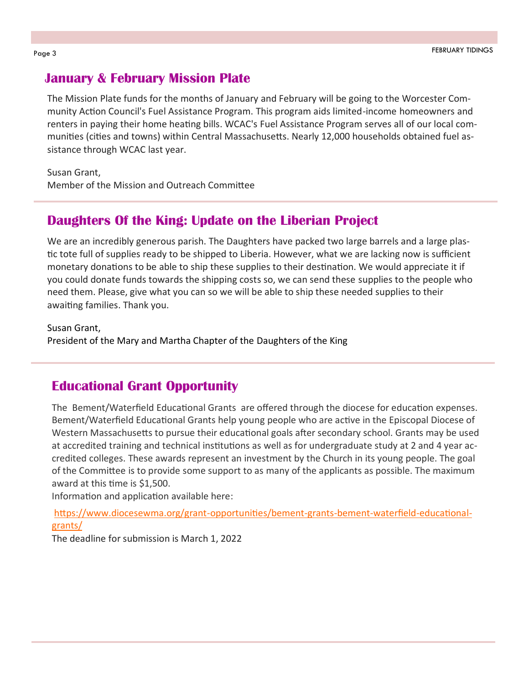#### **January & February Mission Plate**

The Mission Plate funds for the months of January and February will be going to the Worcester Community Action Council's Fuel Assistance Program. This program aids limited-income homeowners and renters in paying their home heating bills. WCAC's Fuel Assistance Program serves all of our local communities (cities and towns) within Central Massachusetts. Nearly 12,000 households obtained fuel assistance through WCAC last year.

Susan Grant,

Member of the Mission and Outreach Committee

## **Daughters Of the King: Update on the Liberian Project**

We are an incredibly generous parish. The Daughters have packed two large barrels and a large plastic tote full of supplies ready to be shipped to Liberia. However, what we are lacking now is sufficient monetary donations to be able to ship these supplies to their destination. We would appreciate it if you could donate funds towards the shipping costs so, we can send these supplies to the people who need them. Please, give what you can so we will be able to ship these needed supplies to their awaiting families. Thank you.

Susan Grant, President of the Mary and Martha Chapter of the Daughters of the King

#### **Educational Grant Opportunity**

The Bement/Waterfield Educational Grants are offered through the diocese for education expenses. Bement/Waterfield Educational Grants help young people who are active in the Episcopal Diocese of Western Massachusetts to pursue their educational goals after secondary school. Grants may be used at accredited training and technical institutions as well as for undergraduate study at 2 and 4 year accredited colleges. These awards represent an investment by the Church in its young people. The goal of the Committee is to provide some support to as many of the applicants as possible. The maximum award at this time is \$1,500.

Information and application available here:

[https://www.diocesewma.org/grant](https://www.diocesewma.org/grant-opportunities/bement-grants-bement-waterfield-educational-grants/)-opportunities/bement-grants-bement-waterfield-educational[grants/](https://www.diocesewma.org/grant-opportunities/bement-grants-bement-waterfield-educational-grants/)

The deadline for submission is March 1, 2022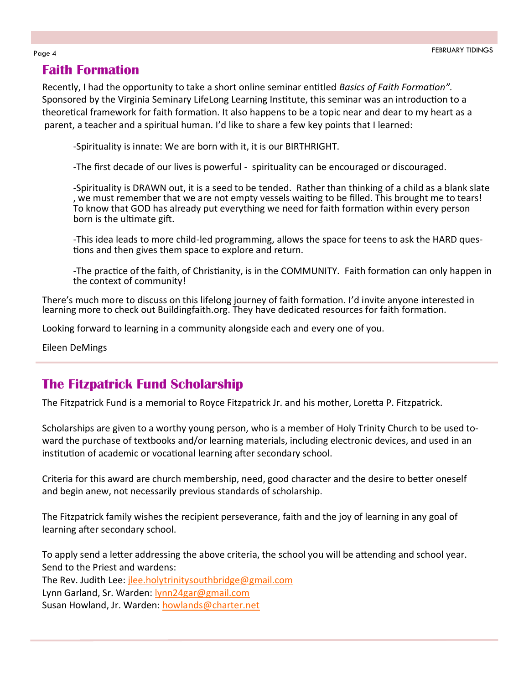## **Faith Formation**

Recently, I had the opportunity to take a short online seminar entitled *Basics of Faith Formation".*  Sponsored by the Virginia Seminary LifeLong Learning Institute, this seminar was an introduction to a theoretical framework for faith formation. It also happens to be a topic near and dear to my heart as a parent, a teacher and a spiritual human. I'd like to share a few key points that I learned:

-Spirituality is innate: We are born with it, it is our BIRTHRIGHT.

-The first decade of our lives is powerful - spirituality can be encouraged or discouraged.

-Spirituality is DRAWN out, it is a seed to be tended. Rather than thinking of a child as a blank slate , we must remember that we are not empty vessels waiting to be filled. This brought me to tears! To know that GOD has already put everything we need for faith formation within every person born is the ultimate gift.

-This idea leads to more child-led programming, allows the space for teens to ask the HARD questions and then gives them space to explore and return.

-The practice of the faith, of Christianity, is in the COMMUNITY. Faith formation can only happen in the context of community!

There's much more to discuss on this lifelong journey of faith formation. I'd invite anyone interested in learning more to check out Buildingfaith.org. They have dedicated resources for faith formation.

Looking forward to learning in a community alongside each and every one of you.

Eileen DeMings

## **The Fitzpatrick Fund Scholarship**

The Fitzpatrick Fund is a memorial to Royce Fitzpatrick Jr. and his mother, Loretta P. Fitzpatrick.

Scholarships are given to a worthy young person, who is a member of Holy Trinity Church to be used toward the purchase of textbooks and/or learning materials, including electronic devices, and used in an institution of academic or vocational learning after secondary school.

Criteria for this award are church membership, need, good character and the desire to better oneself and begin anew, not necessarily previous standards of scholarship.

The Fitzpatrick family wishes the recipient perseverance, faith and the joy of learning in any goal of learning after secondary school.

To apply send a letter addressing the above criteria, the school you will be attending and school year. Send to the Priest and wardens:

The Rev. Judith Lee: [jlee.holytrinitysouthbridge@gmail.com](mailto:jlee.holytrinitysouthbridge@gmail.com)

Lynn Garland, Sr. Warden: [lynn24gar@gmail.com](mailto:lynn24gar@gmail.com)

Susan Howland, Jr. Warden: [howlands@charter.net](mailto:howlands@charter.net)

#### Page 4